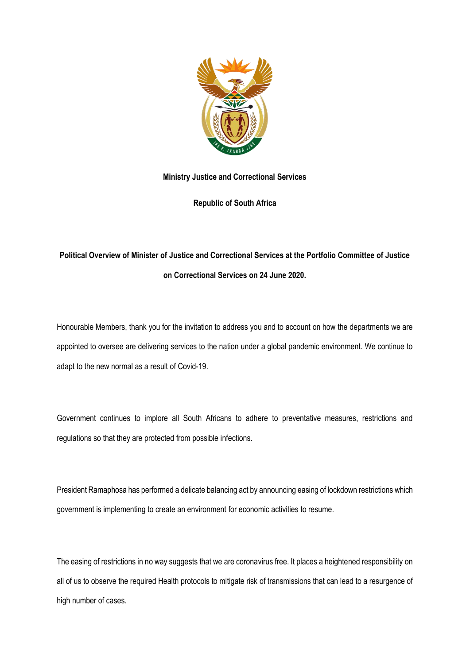

# **Ministry Justice and Correctional Services**

**Republic of South Africa**

# **Political Overview of Minister of Justice and Correctional Services at the Portfolio Committee of Justice on Correctional Services on 24 June 2020.**

Honourable Members, thank you for the invitation to address you and to account on how the departments we are appointed to oversee are delivering services to the nation under a global pandemic environment. We continue to adapt to the new normal as a result of Covid-19.

Government continues to implore all South Africans to adhere to preventative measures, restrictions and regulations so that they are protected from possible infections.

President Ramaphosa has performed a delicate balancing act by announcing easing of lockdown restrictions which government is implementing to create an environment for economic activities to resume.

The easing of restrictions in no way suggests that we are coronavirus free. It places a heightened responsibility on all of us to observe the required Health protocols to mitigate risk of transmissions that can lead to a resurgence of high number of cases.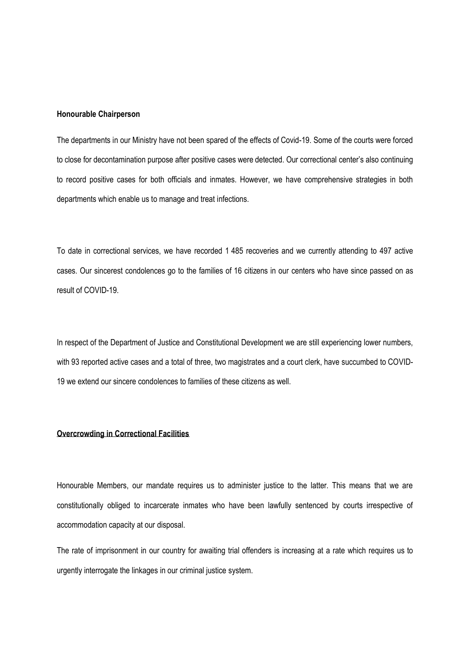#### **Honourable Chairperson**

The departments in our Ministry have not been spared of the effects of Covid-19. Some of the courts were forced to close for decontamination purpose after positive cases were detected. Our correctional center's also continuing to record positive cases for both officials and inmates. However, we have comprehensive strategies in both departments which enable us to manage and treat infections.

To date in correctional services, we have recorded 1 485 recoveries and we currently attending to 497 active cases. Our sincerest condolences go to the families of 16 citizens in our centers who have since passed on as result of COVID-19.

In respect of the Department of Justice and Constitutional Development we are still experiencing lower numbers, with 93 reported active cases and a total of three, two magistrates and a court clerk, have succumbed to COVID-19 we extend our sincere condolences to families of these citizens as well.

#### **Overcrowding in Correctional Facilities**

Honourable Members, our mandate requires us to administer justice to the latter. This means that we are constitutionally obliged to incarcerate inmates who have been lawfully sentenced by courts irrespective of accommodation capacity at our disposal.

The rate of imprisonment in our country for awaiting trial offenders is increasing at a rate which requires us to urgently interrogate the linkages in our criminal justice system.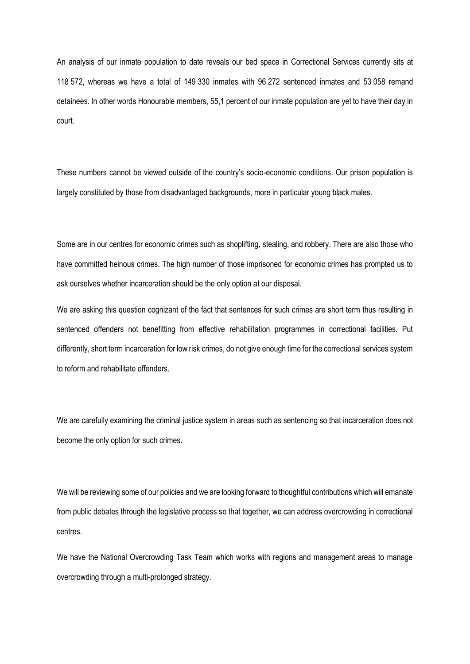An analysis of our inmate population to date reveals our bed space in Correctional Services currently sits at 118 572, whereas we have a total of 149 330 inmates with 96 272 sentenced inmates and 53 058 remand detainees. In other words Honourable members, 55,1 percent of our inmate population are yet to have their day in court.

These numbers cannot be viewed outside of the country's socio-economic conditions. Our prison population is largely constituted by those from disadvantaged backgrounds, more in particular young black males.

Some are in our centres for economic crimes such as shoplifting, stealing, and robbery. There are also those who have committed heinous crimes. The high number of those imprisoned for economic crimes has prompted us to ask ourselves whether incarceration should be the only option at our disposal.

We are asking this question cognizant of the fact that sentences for such crimes are short term thus resulting in sentenced offenders not benefitting from effective rehabilitation programmes in correctional facilities. Put differently, short term incarceration for low risk crimes, do not give enough time for the correctional services system to reform and rehabilitate offenders.

We are carefully examining the criminal justice system in areas such as sentencing so that incarceration does not become the only option for such crimes.

We will be reviewing some of our policies and we are looking forward to thoughtful contributions which will emanate from public debates through the legislative process so that together, we can address overcrowding in correctional centres.

We have the National Overcrowding Task Team which works with regions and management areas to manage overcrowding through a multi-prolonged strategy.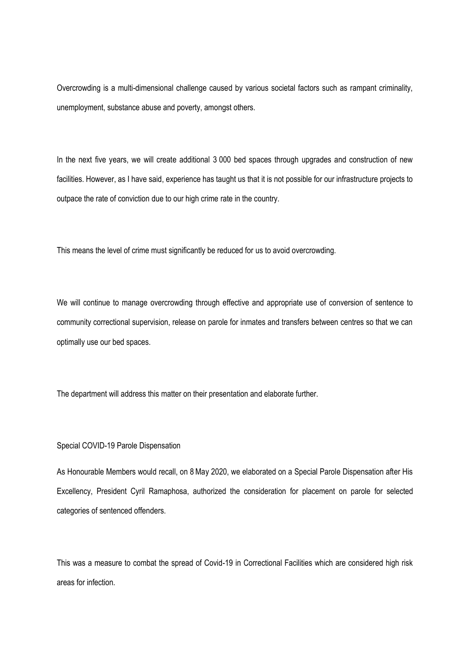Overcrowding is a multi-dimensional challenge caused by various societal factors such as rampant criminality, unemployment, substance abuse and poverty, amongst others.

In the next five years, we will create additional 3 000 bed spaces through upgrades and construction of new facilities. However, as I have said, experience has taught us that it is not possible for our infrastructure projects to outpace the rate of conviction due to our high crime rate in the country.

This means the level of crime must significantly be reduced for us to avoid overcrowding.

We will continue to manage overcrowding through effective and appropriate use of conversion of sentence to community correctional supervision, release on parole for inmates and transfers between centres so that we can optimally use our bed spaces.

The department will address this matter on their presentation and elaborate further.

### Special COVID-19 Parole Dispensation

As Honourable Members would recall, on 8May 2020, we elaborated on a Special Parole Dispensation after His Excellency, President Cyril Ramaphosa, authorized the consideration for placement on parole for selected categories of sentenced offenders.

This was a measure to combat the spread of Covid-19 in Correctional Facilities which are considered high risk areas for infection.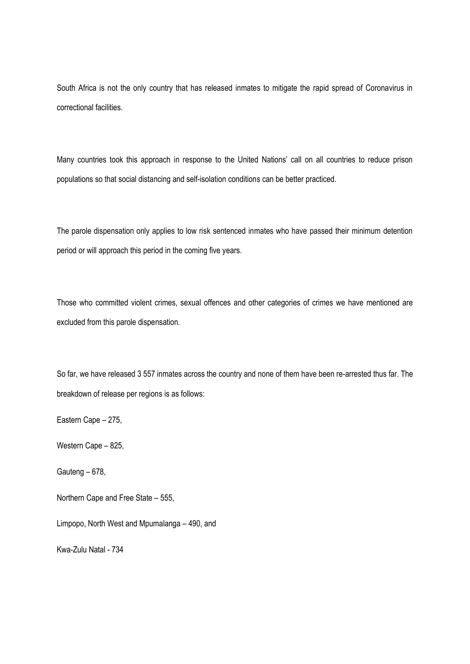South Africa is not the only country that has released inmates to mitigate the rapid spread of Coronavirus in correctional facilities.

Many countries took this approach in response to the United Nations' call on all countries to reduce prison populations so that social distancing and self-isolation conditions can be better practiced.

The parole dispensation only applies to low risk sentenced inmates who have passed their minimum detention period or will approach this period in the coming five years.

Those who committed violent crimes, sexual offences and other categories of crimes we have mentioned are excluded from this parole dispensation.

So far, we have released 3 557 inmates across the country and none of them have been re-arrested thus far. The breakdown of release per regions is as follows:

Eastern Cape – 275,

Western Cape – 825,

Gauteng – 678,

Northern Cape and Free State – 555,

Limpopo, North West and Mpumalanga – 490, and

Kwa-Zulu Natal - 734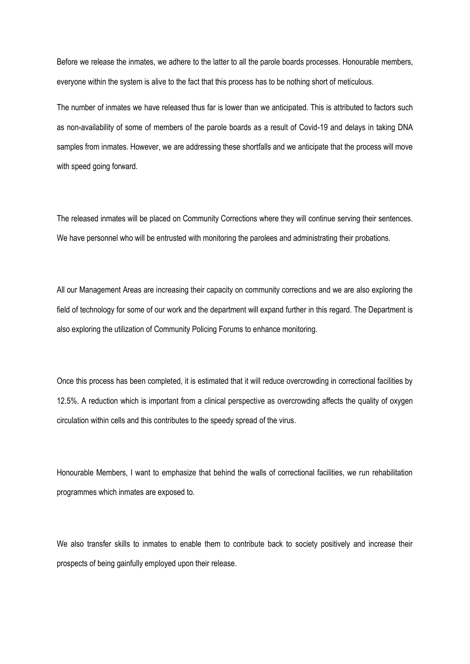Before we release the inmates, we adhere to the latter to all the parole boards processes. Honourable members, everyone within the system is alive to the fact that this process has to be nothing short of meticulous.

The number of inmates we have released thus far is lower than we anticipated. This is attributed to factors such as non-availability of some of members of the parole boards as a result of Covid-19 and delays in taking DNA samples from inmates. However, we are addressing these shortfalls and we anticipate that the process will move with speed going forward.

The released inmates will be placed on Community Corrections where they will continue serving their sentences. We have personnel who will be entrusted with monitoring the parolees and administrating their probations.

All our Management Areas are increasing their capacity on community corrections and we are also exploring the field of technology for some of our work and the department will expand further in this regard. The Department is also exploring the utilization of Community Policing Forums to enhance monitoring.

Once this process has been completed, it is estimated that it will reduce overcrowding in correctional facilities by 12.5%. A reduction which is important from a clinical perspective as overcrowding affects the quality of oxygen circulation within cells and this contributes to the speedy spread of the virus.

Honourable Members, I want to emphasize that behind the walls of correctional facilities, we run rehabilitation programmes which inmates are exposed to.

We also transfer skills to inmates to enable them to contribute back to society positively and increase their prospects of being gainfully employed upon their release.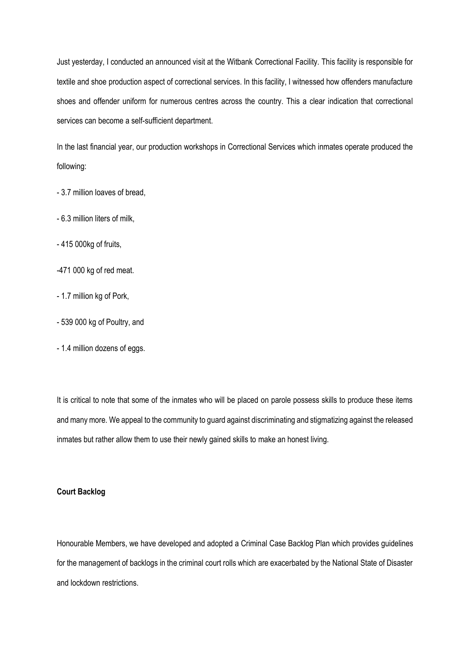Just yesterday, I conducted an announced visit at the Witbank Correctional Facility. This facility is responsible for textile and shoe production aspect of correctional services. In this facility, I witnessed how offenders manufacture shoes and offender uniform for numerous centres across the country. This a clear indication that correctional services can become a self-sufficient department.

In the last financial year, our production workshops in Correctional Services which inmates operate produced the following:

- 3.7 million loaves of bread,
- 6.3 million liters of milk,
- 415 000kg of fruits,
- -471 000 kg of red meat.
- 1.7 million kg of Pork,
- 539 000 kg of Poultry, and
- 1.4 million dozens of eggs.

It is critical to note that some of the inmates who will be placed on parole possess skills to produce these items and many more. We appeal to the community to guard against discriminating and stigmatizing against the released inmates but rather allow them to use their newly gained skills to make an honest living.

## **Court Backlog**

Honourable Members, we have developed and adopted a Criminal Case Backlog Plan which provides guidelines for the management of backlogs in the criminal court rolls which are exacerbated by the National State of Disaster and lockdown restrictions.